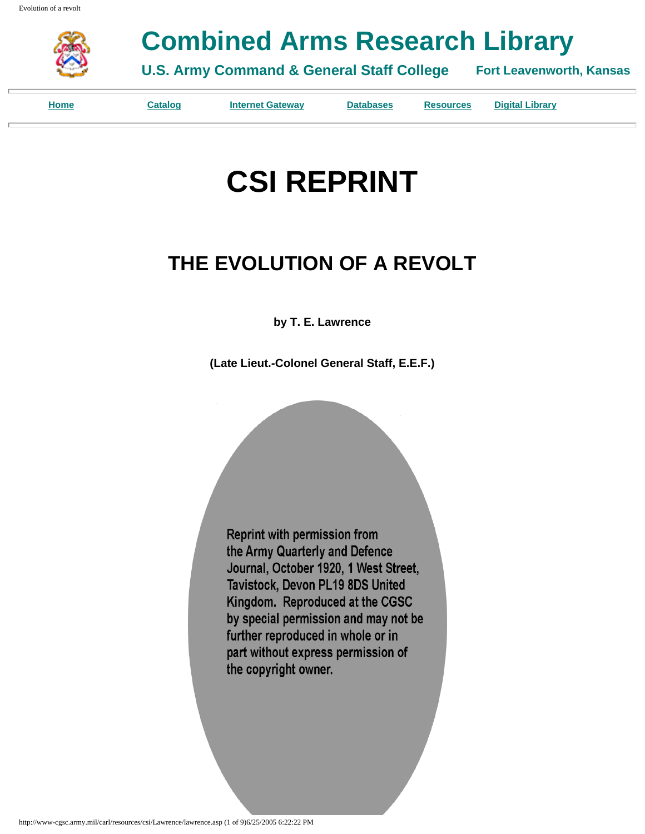Evolution of a revolt



## **Combined Arms Research Library**

**U.S. Army Command & General Staff College Fort Leavenworth, Kansas** 

**[Home](http://www-cgsc.army.mil/CARL/) [Catalog](http://www-cgsc.army.mil/carl/catalog/) [Internet Gateway](http://www-cgsc.army.mil/carl/gateway/) [Databases](http://www-cgsc.army.mil/carl/databases/db_data.asp) [Resources](http://www-cgsc.army.mil/carl/resources/) [Digital Library](http://www-cgsc.army.mil/carl/contentdm/home.htm)**

# **CSI REPRINT**

### **THE EVOLUTION OF A REVOLT**

**by T. E. Lawrence**

**(Late Lieut.-Colonel General Staff, E.E.F.)**

**Reprint with permission from** the Army Quarterly and Defence Journal, October 1920, 1 West Street, Tavistock, Devon PL19 8DS United Kingdom. Reproduced at the CGSC by special permission and may not be further reproduced in whole or in part without express permission of the copyright owner.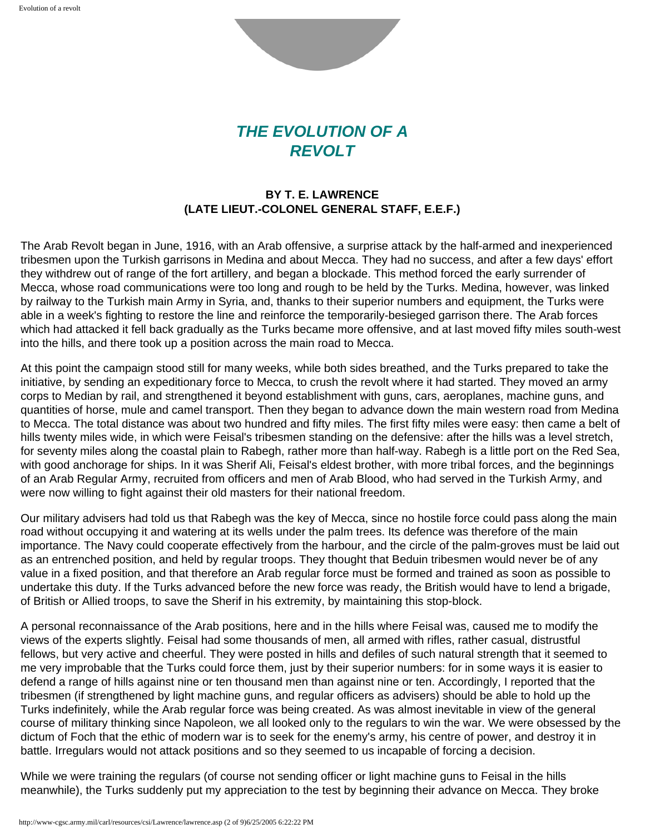



### **BY T. E. LAWRENCE (LATE LIEUT.-COLONEL GENERAL STAFF, E.E.F.)**

The Arab Revolt began in June, 1916, with an Arab offensive, a surprise attack by the half-armed and inexperienced tribesmen upon the Turkish garrisons in Medina and about Mecca. They had no success, and after a few days' effort they withdrew out of range of the fort artillery, and began a blockade. This method forced the early surrender of Mecca, whose road communications were too long and rough to be held by the Turks. Medina, however, was linked by railway to the Turkish main Army in Syria, and, thanks to their superior numbers and equipment, the Turks were able in a week's fighting to restore the line and reinforce the temporarily-besieged garrison there. The Arab forces which had attacked it fell back gradually as the Turks became more offensive, and at last moved fifty miles south-west into the hills, and there took up a position across the main road to Mecca.

At this point the campaign stood still for many weeks, while both sides breathed, and the Turks prepared to take the initiative, by sending an expeditionary force to Mecca, to crush the revolt where it had started. They moved an army corps to Median by rail, and strengthened it beyond establishment with guns, cars, aeroplanes, machine guns, and quantities of horse, mule and camel transport. Then they began to advance down the main western road from Medina to Mecca. The total distance was about two hundred and fifty miles. The first fifty miles were easy: then came a belt of hills twenty miles wide, in which were Feisal's tribesmen standing on the defensive: after the hills was a level stretch, for seventy miles along the coastal plain to Rabegh, rather more than half-way. Rabegh is a little port on the Red Sea, with good anchorage for ships. In it was Sherif Ali, Feisal's eldest brother, with more tribal forces, and the beginnings of an Arab Regular Army, recruited from officers and men of Arab Blood, who had served in the Turkish Army, and were now willing to fight against their old masters for their national freedom.

Our military advisers had told us that Rabegh was the key of Mecca, since no hostile force could pass along the main road without occupying it and watering at its wells under the palm trees. Its defence was therefore of the main importance. The Navy could cooperate effectively from the harbour, and the circle of the palm-groves must be laid out as an entrenched position, and held by regular troops. They thought that Beduin tribesmen would never be of any value in a fixed position, and that therefore an Arab regular force must be formed and trained as soon as possible to undertake this duty. If the Turks advanced before the new force was ready, the British would have to lend a brigade, of British or Allied troops, to save the Sherif in his extremity, by maintaining this stop-block.

A personal reconnaissance of the Arab positions, here and in the hills where Feisal was, caused me to modify the views of the experts slightly. Feisal had some thousands of men, all armed with rifles, rather casual, distrustful fellows, but very active and cheerful. They were posted in hills and defiles of such natural strength that it seemed to me very improbable that the Turks could force them, just by their superior numbers: for in some ways it is easier to defend a range of hills against nine or ten thousand men than against nine or ten. Accordingly, I reported that the tribesmen (if strengthened by light machine guns, and regular officers as advisers) should be able to hold up the Turks indefinitely, while the Arab regular force was being created. As was almost inevitable in view of the general course of military thinking since Napoleon, we all looked only to the regulars to win the war. We were obsessed by the dictum of Foch that the ethic of modern war is to seek for the enemy's army, his centre of power, and destroy it in battle. Irregulars would not attack positions and so they seemed to us incapable of forcing a decision.

While we were training the regulars (of course not sending officer or light machine guns to Feisal in the hills meanwhile), the Turks suddenly put my appreciation to the test by beginning their advance on Mecca. They broke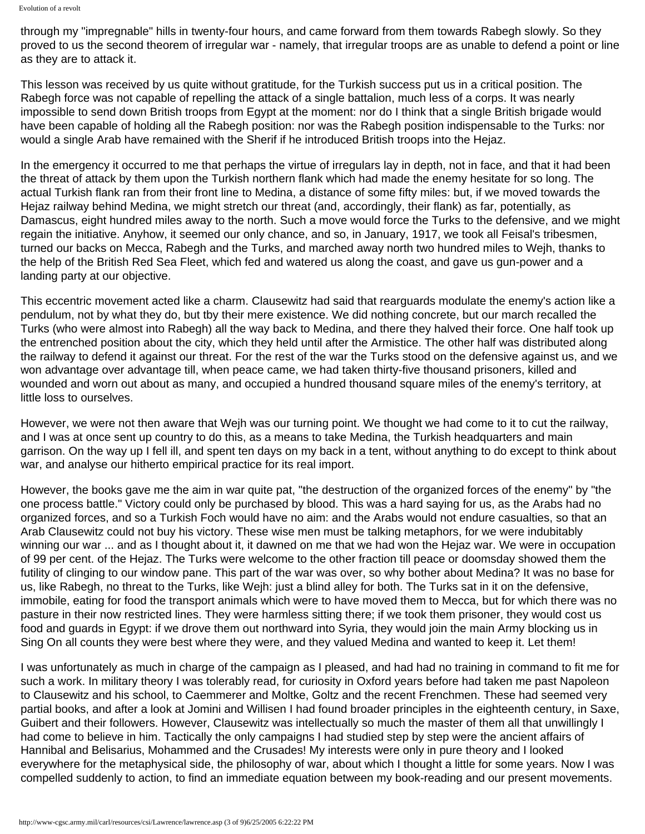through my "impregnable" hills in twenty-four hours, and came forward from them towards Rabegh slowly. So they proved to us the second theorem of irregular war - namely, that irregular troops are as unable to defend a point or line as they are to attack it.

This lesson was received by us quite without gratitude, for the Turkish success put us in a critical position. The Rabegh force was not capable of repelling the attack of a single battalion, much less of a corps. It was nearly impossible to send down British troops from Egypt at the moment: nor do I think that a single British brigade would have been capable of holding all the Rabegh position: nor was the Rabegh position indispensable to the Turks: nor would a single Arab have remained with the Sherif if he introduced British troops into the Hejaz.

In the emergency it occurred to me that perhaps the virtue of irregulars lay in depth, not in face, and that it had been the threat of attack by them upon the Turkish northern flank which had made the enemy hesitate for so long. The actual Turkish flank ran from their front line to Medina, a distance of some fifty miles: but, if we moved towards the Hejaz railway behind Medina, we might stretch our threat (and, accordingly, their flank) as far, potentially, as Damascus, eight hundred miles away to the north. Such a move would force the Turks to the defensive, and we might regain the initiative. Anyhow, it seemed our only chance, and so, in January, 1917, we took all Feisal's tribesmen, turned our backs on Mecca, Rabegh and the Turks, and marched away north two hundred miles to Wejh, thanks to the help of the British Red Sea Fleet, which fed and watered us along the coast, and gave us gun-power and a landing party at our objective.

This eccentric movement acted like a charm. Clausewitz had said that rearguards modulate the enemy's action like a pendulum, not by what they do, but tby their mere existence. We did nothing concrete, but our march recalled the Turks (who were almost into Rabegh) all the way back to Medina, and there they halved their force. One half took up the entrenched position about the city, which they held until after the Armistice. The other half was distributed along the railway to defend it against our threat. For the rest of the war the Turks stood on the defensive against us, and we won advantage over advantage till, when peace came, we had taken thirty-five thousand prisoners, killed and wounded and worn out about as many, and occupied a hundred thousand square miles of the enemy's territory, at little loss to ourselves.

However, we were not then aware that Wejh was our turning point. We thought we had come to it to cut the railway, and I was at once sent up country to do this, as a means to take Medina, the Turkish headquarters and main garrison. On the way up I fell ill, and spent ten days on my back in a tent, without anything to do except to think about war, and analyse our hitherto empirical practice for its real import.

However, the books gave me the aim in war quite pat, "the destruction of the organized forces of the enemy" by "the one process battle." Victory could only be purchased by blood. This was a hard saying for us, as the Arabs had no organized forces, and so a Turkish Foch would have no aim: and the Arabs would not endure casualties, so that an Arab Clausewitz could not buy his victory. These wise men must be talking metaphors, for we were indubitably winning our war ... and as I thought about it, it dawned on me that we had won the Hejaz war. We were in occupation of 99 per cent. of the Hejaz. The Turks were welcome to the other fraction till peace or doomsday showed them the futility of clinging to our window pane. This part of the war was over, so why bother about Medina? It was no base for us, like Rabegh, no threat to the Turks, like Wejh: just a blind alley for both. The Turks sat in it on the defensive, immobile, eating for food the transport animals which were to have moved them to Mecca, but for which there was no pasture in their now restricted lines. They were harmless sitting there; if we took them prisoner, they would cost us food and guards in Egypt: if we drove them out northward into Syria, they would join the main Army blocking us in Sing On all counts they were best where they were, and they valued Medina and wanted to keep it. Let them!

I was unfortunately as much in charge of the campaign as I pleased, and had had no training in command to fit me for such a work. In military theory I was tolerably read, for curiosity in Oxford years before had taken me past Napoleon to Clausewitz and his school, to Caemmerer and Moltke, Goltz and the recent Frenchmen. These had seemed very partial books, and after a look at Jomini and Willisen I had found broader principles in the eighteenth century, in Saxe, Guibert and their followers. However, Clausewitz was intellectually so much the master of them all that unwillingly I had come to believe in him. Tactically the only campaigns I had studied step by step were the ancient affairs of Hannibal and Belisarius, Mohammed and the Crusades! My interests were only in pure theory and I looked everywhere for the metaphysical side, the philosophy of war, about which I thought a little for some years. Now I was compelled suddenly to action, to find an immediate equation between my book-reading and our present movements.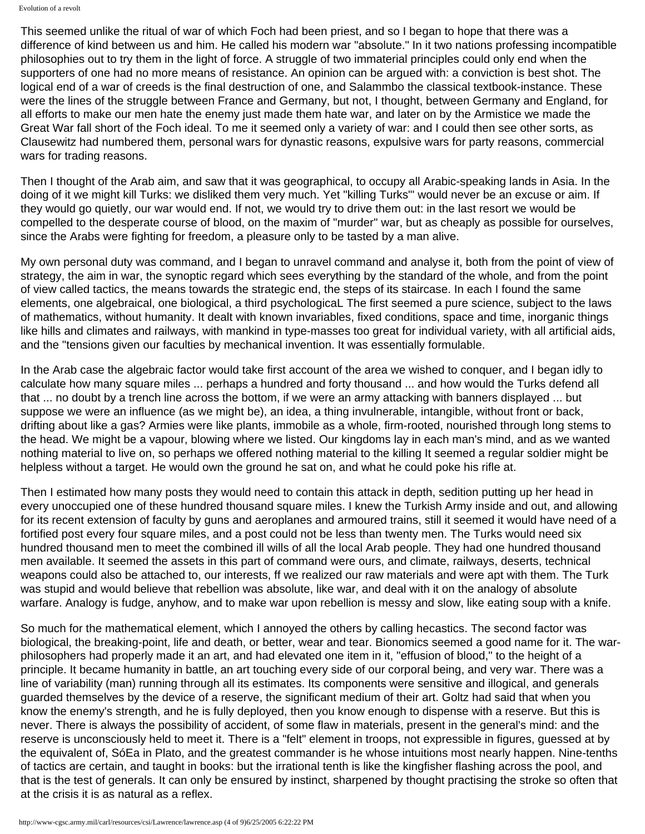Evolution of a revolt

This seemed unlike the ritual of war of which Foch had been priest, and so I began to hope that there was a difference of kind between us and him. He called his modern war "absolute." In it two nations professing incompatible philosophies out to try them in the light of force. A struggle of two immaterial principles could only end when the supporters of one had no more means of resistance. An opinion can be argued with: a conviction is best shot. The logical end of a war of creeds is the final destruction of one, and Salammbo the classical textbook-instance. These were the lines of the struggle between France and Germany, but not, I thought, between Germany and England, for all efforts to make our men hate the enemy just made them hate war, and later on by the Armistice we made the Great War fall short of the Foch ideal. To me it seemed only a variety of war: and I could then see other sorts, as Clausewitz had numbered them, personal wars for dynastic reasons, expulsive wars for party reasons, commercial wars for trading reasons.

Then I thought of the Arab aim, and saw that it was geographical, to occupy all Arabic-speaking lands in Asia. In the doing of it we might kill Turks: we disliked them very much. Yet "killing Turks"' would never be an excuse or aim. If they would go quietly, our war would end. If not, we would try to drive them out: in the last resort we would be compelled to the desperate course of blood, on the maxim of "murder" war, but as cheaply as possible for ourselves, since the Arabs were fighting for freedom, a pleasure only to be tasted by a man alive.

My own personal duty was command, and I began to unravel command and analyse it, both from the point of view of strategy, the aim in war, the synoptic regard which sees everything by the standard of the whole, and from the point of view called tactics, the means towards the strategic end, the steps of its staircase. In each I found the same elements, one algebraical, one biological, a third psychologicaL The first seemed a pure science, subject to the laws of mathematics, without humanity. It dealt with known invariables, fixed conditions, space and time, inorganic things like hills and climates and railways, with mankind in type-masses too great for individual variety, with all artificial aids, and the "tensions given our faculties by mechanical invention. It was essentially formulable.

In the Arab case the algebraic factor would take first account of the area we wished to conquer, and I began idly to calculate how many square miles ... perhaps a hundred and forty thousand ... and how would the Turks defend all that ... no doubt by a trench line across the bottom, if we were an army attacking with banners displayed ... but suppose we were an influence (as we might be), an idea, a thing invulnerable, intangible, without front or back, drifting about like a gas? Armies were like plants, immobile as a whole, firm-rooted, nourished through long stems to the head. We might be a vapour, blowing where we listed. Our kingdoms lay in each man's mind, and as we wanted nothing material to live on, so perhaps we offered nothing material to the killing It seemed a regular soldier might be helpless without a target. He would own the ground he sat on, and what he could poke his rifle at.

Then I estimated how many posts they would need to contain this attack in depth, sedition putting up her head in every unoccupied one of these hundred thousand square miles. I knew the Turkish Army inside and out, and allowing for its recent extension of faculty by guns and aeroplanes and armoured trains, still it seemed it would have need of a fortified post every four square miles, and a post could not be less than twenty men. The Turks would need six hundred thousand men to meet the combined ill wills of all the local Arab people. They had one hundred thousand men available. It seemed the assets in this part of command were ours, and climate, railways, deserts, technical weapons could also be attached to, our interests, ff we realized our raw materials and were apt with them. The Turk was stupid and would believe that rebellion was absolute, like war, and deal with it on the analogy of absolute warfare. Analogy is fudge, anyhow, and to make war upon rebellion is messy and slow, like eating soup with a knife.

So much for the mathematical element, which I annoyed the others by calling hecastics. The second factor was biological, the breaking-point, life and death, or better, wear and tear. Bionomics seemed a good name for it. The warphilosophers had properly made it an art, and had elevated one item in it, "effusion of blood," to the height of a principle. It became humanity in battle, an art touching every side of our corporal being, and very war. There was a line of variability (man) running through all its estimates. Its components were sensitive and illogical, and generals guarded themselves by the device of a reserve, the significant medium of their art. Goltz had said that when you know the enemy's strength, and he is fully deployed, then you know enough to dispense with a reserve. But this is never. There is always the possibility of accident, of some flaw in materials, present in the general's mind: and the reserve is unconsciously held to meet it. There is a "felt" element in troops, not expressible in figures, guessed at by the equivalent of, SóEa in Plato, and the greatest commander is he whose intuitions most nearly happen. Nine-tenths of tactics are certain, and taught in books: but the irrational tenth is like the kingfisher flashing across the pool, and that is the test of generals. It can only be ensured by instinct, sharpened by thought practising the stroke so often that at the crisis it is as natural as a reflex.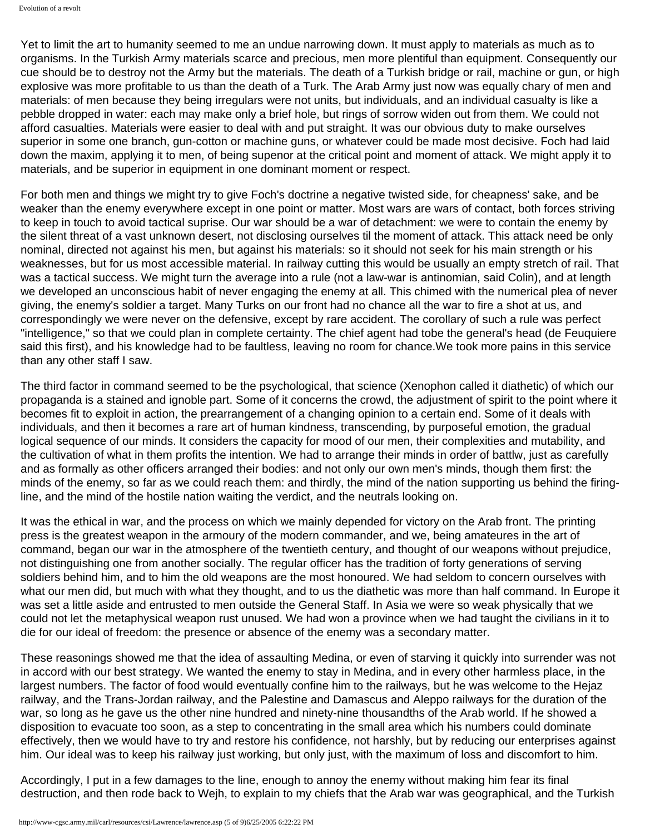Yet to limit the art to humanity seemed to me an undue narrowing down. It must apply to materials as much as to organisms. In the Turkish Army materials scarce and precious, men more plentiful than equipment. Consequently our cue should be to destroy not the Army but the materials. The death of a Turkish bridge or rail, machine or gun, or high explosive was more profitable to us than the death of a Turk. The Arab Army just now was equally chary of men and materials: of men because they being irregulars were not units, but individuals, and an individual casualty is like a pebble dropped in water: each may make only a brief hole, but rings of sorrow widen out from them. We could not afford casualties. Materials were easier to deal with and put straight. It was our obvious duty to make ourselves superior in some one branch, gun-cotton or machine guns, or whatever could be made most decisive. Foch had laid down the maxim, applying it to men, of being supenor at the critical point and moment of attack. We might apply it to materials, and be superior in equipment in one dominant moment or respect.

For both men and things we might try to give Foch's doctrine a negative twisted side, for cheapness' sake, and be weaker than the enemy everywhere except in one point or matter. Most wars are wars of contact, both forces striving to keep in touch to avoid tactical suprise. Our war should be a war of detachment: we were to contain the enemy by the silent threat of a vast unknown desert, not disclosing ourselves til the moment of attack. This attack need be only nominal, directed not against his men, but against his materials: so it should not seek for his main strength or his weaknesses, but for us most accessible material. In railway cutting this would be usually an empty stretch of rail. That was a tactical success. We might turn the average into a rule (not a law-war is antinomian, said Colin), and at length we developed an unconscious habit of never engaging the enemy at all. This chimed with the numerical plea of never giving, the enemy's soldier a target. Many Turks on our front had no chance all the war to fire a shot at us, and correspondingly we were never on the defensive, except by rare accident. The corollary of such a rule was perfect "intelligence," so that we could plan in complete certainty. The chief agent had tobe the general's head (de Feuquiere said this first), and his knowledge had to be faultless, leaving no room for chance.We took more pains in this service than any other staff I saw.

The third factor in command seemed to be the psychological, that science (Xenophon called it diathetic) of which our propaganda is a stained and ignoble part. Some of it concerns the crowd, the adjustment of spirit to the point where it becomes fit to exploit in action, the prearrangement of a changing opinion to a certain end. Some of it deals with individuals, and then it becomes a rare art of human kindness, transcending, by purposeful emotion, the gradual logical sequence of our minds. It considers the capacity for mood of our men, their complexities and mutability, and the cultivation of what in them profits the intention. We had to arrange their minds in order of battlw, just as carefully and as formally as other officers arranged their bodies: and not only our own men's minds, though them first: the minds of the enemy, so far as we could reach them: and thirdly, the mind of the nation supporting us behind the firingline, and the mind of the hostile nation waiting the verdict, and the neutrals looking on.

It was the ethical in war, and the process on which we mainly depended for victory on the Arab front. The printing press is the greatest weapon in the armoury of the modern commander, and we, being amateures in the art of command, began our war in the atmosphere of the twentieth century, and thought of our weapons without prejudice, not distinguishing one from another socially. The regular officer has the tradition of forty generations of serving soldiers behind him, and to him the old weapons are the most honoured. We had seldom to concern ourselves with what our men did, but much with what they thought, and to us the diathetic was more than half command. In Europe it was set a little aside and entrusted to men outside the General Staff. In Asia we were so weak physically that we could not let the metaphysical weapon rust unused. We had won a province when we had taught the civilians in it to die for our ideal of freedom: the presence or absence of the enemy was a secondary matter.

These reasonings showed me that the idea of assaulting Medina, or even of starving it quickly into surrender was not in accord with our best strategy. We wanted the enemy to stay in Medina, and in every other harmless place, in the largest numbers. The factor of food would eventually confine him to the railways, but he was welcome to the Hejaz railway, and the Trans-Jordan railway, and the Palestine and Damascus and Aleppo railways for the duration of the war, so long as he gave us the other nine hundred and ninety-nine thousandths of the Arab world. If he showed a disposition to evacuate too soon, as a step to concentrating in the small area which his numbers could dominate effectively, then we would have to try and restore his confidence, not harshly, but by reducing our enterprises against him. Our ideal was to keep his railway just working, but only just, with the maximum of loss and discomfort to him.

Accordingly, I put in a few damages to the line, enough to annoy the enemy without making him fear its final destruction, and then rode back to Wejh, to explain to my chiefs that the Arab war was geographical, and the Turkish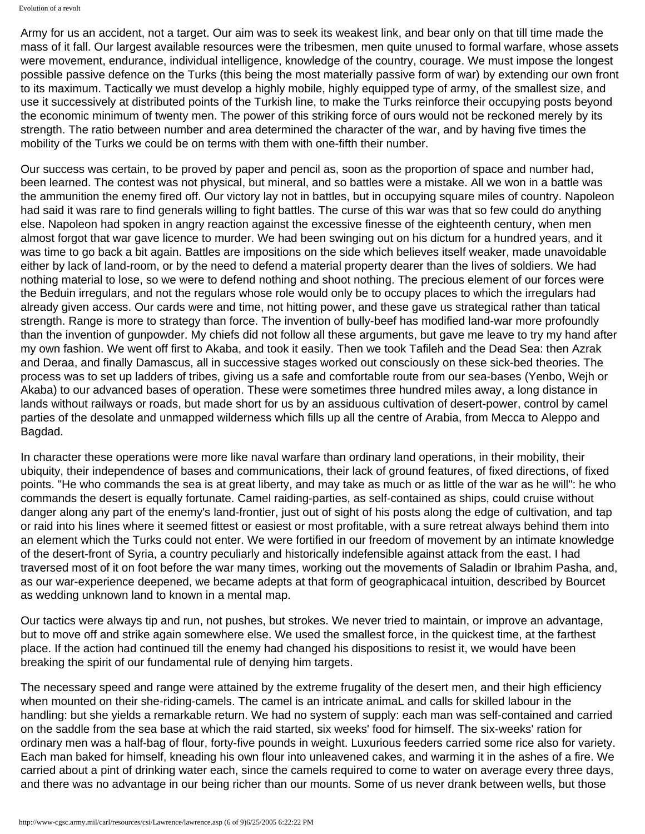Army for us an accident, not a target. Our aim was to seek its weakest link, and bear only on that till time made the mass of it fall. Our largest available resources were the tribesmen, men quite unused to formal warfare, whose assets were movement, endurance, individual intelligence, knowledge of the country, courage. We must impose the longest possible passive defence on the Turks (this being the most materially passive form of war) by extending our own front to its maximum. Tactically we must develop a highly mobile, highly equipped type of army, of the smallest size, and use it successively at distributed points of the Turkish line, to make the Turks reinforce their occupying posts beyond the economic minimum of twenty men. The power of this striking force of ours would not be reckoned merely by its strength. The ratio between number and area determined the character of the war, and by having five times the mobility of the Turks we could be on terms with them with one-fifth their number.

Our success was certain, to be proved by paper and pencil as, soon as the proportion of space and number had, been learned. The contest was not physical, but mineral, and so battles were a mistake. All we won in a battle was the ammunition the enemy fired off. Our victory lay not in battles, but in occupying square miles of country. Napoleon had said it was rare to find generals willing to fight battles. The curse of this war was that so few could do anything else. Napoleon had spoken in angry reaction against the excessive finesse of the eighteenth century, when men almost forgot that war gave licence to murder. We had been swinging out on his dictum for a hundred years, and it was time to go back a bit again. Battles are impositions on the side which believes itself weaker, made unavoidable either by lack of land-room, or by the need to defend a material property dearer than the lives of soldiers. We had nothing material to lose, so we were to defend nothing and shoot nothing. The precious element of our forces were the Beduin irregulars, and not the regulars whose role would only be to occupy places to which the irregulars had already given access. Our cards were and time, not hitting power, and these gave us strategical rather than tatical strength. Range is more to strategy than force. The invention of bully-beef has modified land-war more profoundly than the invention of gunpowder. My chiefs did not follow all these arguments, but gave me leave to try my hand after my own fashion. We went off first to Akaba, and took it easily. Then we took Tafileh and the Dead Sea: then Azrak and Deraa, and finally Damascus, all in successive stages worked out consciously on these sick-bed theories. The process was to set up ladders of tribes, giving us a safe and comfortable route from our sea-bases (Yenbo, Wejh or Akaba) to our advanced bases of operation. These were sometimes three hundred miles away, a long distance in lands without railways or roads, but made short for us by an assiduous cultivation of desert-power, control by camel parties of the desolate and unmapped wilderness which fills up all the centre of Arabia, from Mecca to Aleppo and Bagdad.

In character these operations were more like naval warfare than ordinary land operations, in their mobility, their ubiquity, their independence of bases and communications, their lack of ground features, of fixed directions, of fixed points. "He who commands the sea is at great liberty, and may take as much or as little of the war as he will": he who commands the desert is equally fortunate. Camel raiding-parties, as self-contained as ships, could cruise without danger along any part of the enemy's land-frontier, just out of sight of his posts along the edge of cultivation, and tap or raid into his lines where it seemed fittest or easiest or most profitable, with a sure retreat always behind them into an element which the Turks could not enter. We were fortified in our freedom of movement by an intimate knowledge of the desert-front of Syria, a country peculiarly and historically indefensible against attack from the east. I had traversed most of it on foot before the war many times, working out the movements of Saladin or Ibrahim Pasha, and, as our war-experience deepened, we became adepts at that form of geographicacal intuition, described by Bourcet as wedding unknown land to known in a mental map.

Our tactics were always tip and run, not pushes, but strokes. We never tried to maintain, or improve an advantage, but to move off and strike again somewhere else. We used the smallest force, in the quickest time, at the farthest place. If the action had continued till the enemy had changed his dispositions to resist it, we would have been breaking the spirit of our fundamental rule of denying him targets.

The necessary speed and range were attained by the extreme frugality of the desert men, and their high efficiency when mounted on their she-riding-camels. The camel is an intricate animaL and calls for skilled labour in the handling: but she yields a remarkable return. We had no system of supply: each man was self-contained and carried on the saddle from the sea base at which the raid started, six weeks' food for himself. The six-weeks' ration for ordinary men was a half-bag of flour, forty-five pounds in weight. Luxurious feeders carried some rice also for variety. Each man baked for himself, kneading his own flour into unleavened cakes, and warming it in the ashes of a fire. We carried about a pint of drinking water each, since the camels required to come to water on average every three days, and there was no advantage in our being richer than our mounts. Some of us never drank between wells, but those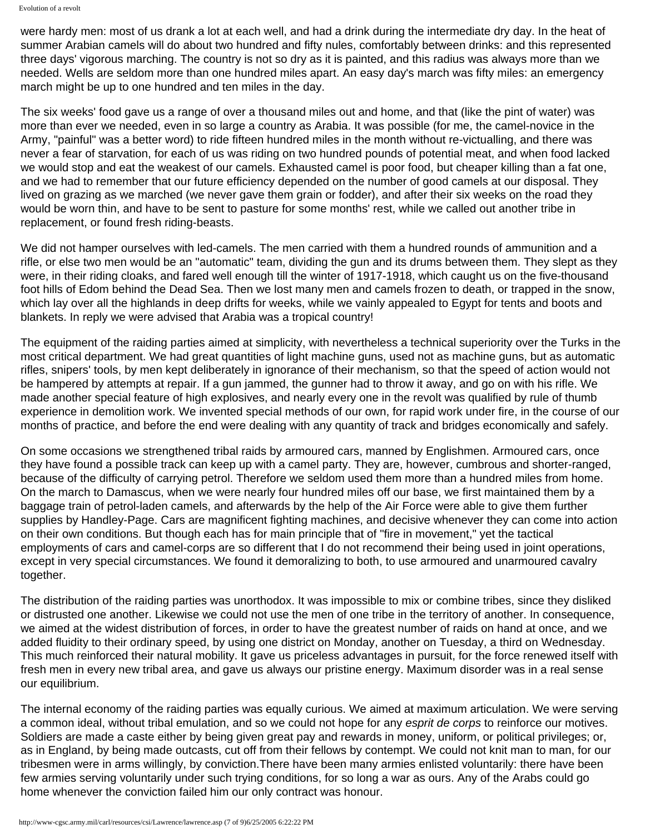Evolution of a revolt

were hardy men: most of us drank a lot at each well, and had a drink during the intermediate dry day. In the heat of summer Arabian camels will do about two hundred and fifty nules, comfortably between drinks: and this represented three days' vigorous marching. The country is not so dry as it is painted, and this radius was always more than we needed. Wells are seldom more than one hundred miles apart. An easy day's march was fifty miles: an emergency march might be up to one hundred and ten miles in the day.

The six weeks' food gave us a range of over a thousand miles out and home, and that (like the pint of water) was more than ever we needed, even in so large a country as Arabia. It was possible (for me, the camel-novice in the Army, "painful" was a better word) to ride fifteen hundred miles in the month without re-victualling, and there was never a fear of starvation, for each of us was riding on two hundred pounds of potential meat, and when food lacked we would stop and eat the weakest of our camels. Exhausted camel is poor food, but cheaper killing than a fat one, and we had to remember that our future efficiency depended on the number of good camels at our disposal. They lived on grazing as we marched (we never gave them grain or fodder), and after their six weeks on the road they would be worn thin, and have to be sent to pasture for some months' rest, while we called out another tribe in replacement, or found fresh riding-beasts.

We did not hamper ourselves with led-camels. The men carried with them a hundred rounds of ammunition and a rifle, or else two men would be an "automatic" team, dividing the gun and its drums between them. They slept as they were, in their riding cloaks, and fared well enough till the winter of 1917-1918, which caught us on the five-thousand foot hills of Edom behind the Dead Sea. Then we lost many men and camels frozen to death, or trapped in the snow, which lay over all the highlands in deep drifts for weeks, while we vainly appealed to Egypt for tents and boots and blankets. In reply we were advised that Arabia was a tropical country!

The equipment of the raiding parties aimed at simplicity, with nevertheless a technical superiority over the Turks in the most critical department. We had great quantities of light machine guns, used not as machine guns, but as automatic rifles, snipers' tools, by men kept deliberately in ignorance of their mechanism, so that the speed of action would not be hampered by attempts at repair. If a gun jammed, the gunner had to throw it away, and go on with his rifle. We made another special feature of high explosives, and nearly every one in the revolt was qualified by rule of thumb experience in demolition work. We invented special methods of our own, for rapid work under fire, in the course of our months of practice, and before the end were dealing with any quantity of track and bridges economically and safely.

On some occasions we strengthened tribal raids by armoured cars, manned by Englishmen. Armoured cars, once they have found a possible track can keep up with a camel party. They are, however, cumbrous and shorter-ranged, because of the difficulty of carrying petrol. Therefore we seldom used them more than a hundred miles from home. On the march to Damascus, when we were nearly four hundred miles off our base, we first maintained them by a baggage train of petrol-laden camels, and afterwards by the help of the Air Force were able to give them further supplies by Handley-Page. Cars are magnificent fighting machines, and decisive whenever they can come into action on their own conditions. But though each has for main principle that of "fire in movement," yet the tactical employments of cars and camel-corps are so different that I do not recommend their being used in joint operations, except in very special circumstances. We found it demoralizing to both, to use armoured and unarmoured cavalry together.

The distribution of the raiding parties was unorthodox. It was impossible to mix or combine tribes, since they disliked or distrusted one another. Likewise we could not use the men of one tribe in the territory of another. In consequence, we aimed at the widest distribution of forces, in order to have the greatest number of raids on hand at once, and we added fluidity to their ordinary speed, by using one district on Monday, another on Tuesday, a third on Wednesday. This much reinforced their natural mobility. It gave us priceless advantages in pursuit, for the force renewed itself with fresh men in every new tribal area, and gave us always our pristine energy. Maximum disorder was in a real sense our equilibrium.

The internal economy of the raiding parties was equally curious. We aimed at maximum articulation. We were serving a common ideal, without tribal emulation, and so we could not hope for any *esprit de corps* to reinforce our motives. Soldiers are made a caste either by being given great pay and rewards in money, uniform, or political privileges; or, as in England, by being made outcasts, cut off from their fellows by contempt. We could not knit man to man, for our tribesmen were in arms willingly, by conviction.There have been many armies enlisted voluntarily: there have been few armies serving voluntarily under such trying conditions, for so long a war as ours. Any of the Arabs could go home whenever the conviction failed him our only contract was honour.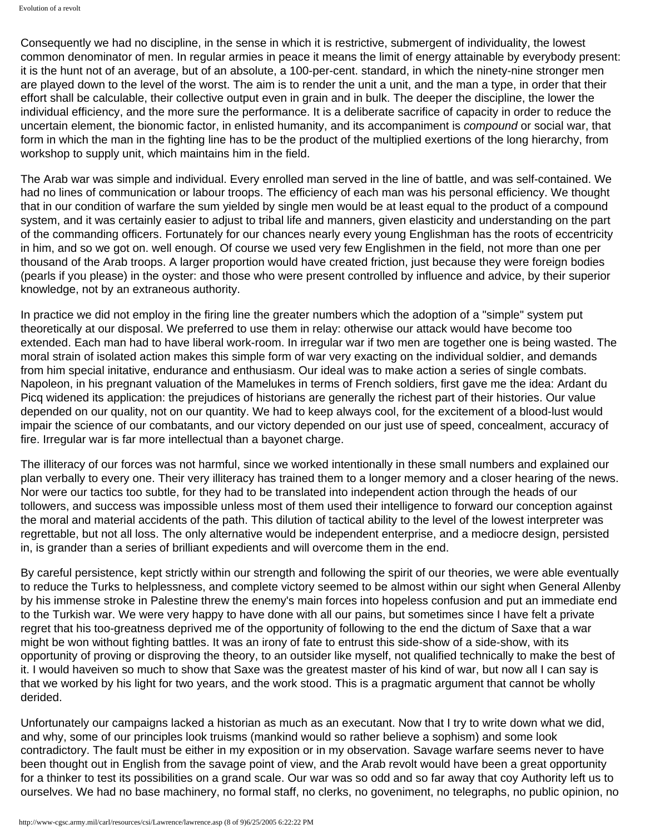Consequently we had no discipline, in the sense in which it is restrictive, submergent of individuality, the lowest common denominator of men. In regular armies in peace it means the limit of energy attainable by everybody present: it is the hunt not of an average, but of an absolute, a 100-per-cent. standard, in which the ninety-nine stronger men are played down to the level of the worst. The aim is to render the unit a unit, and the man a type, in order that their effort shall be calculable, their collective output even in grain and in bulk. The deeper the discipline, the lower the individual efficiency, and the more sure the performance. It is a deliberate sacrifice of capacity in order to reduce the uncertain element, the bionomic factor, in enlisted humanity, and its accompaniment is *compound* or social war, that form in which the man in the fighting line has to be the product of the multiplied exertions of the long hierarchy, from workshop to supply unit, which maintains him in the field.

The Arab war was simple and individual. Every enrolled man served in the line of battle, and was self-contained. We had no lines of communication or labour troops. The efficiency of each man was his personal efficiency. We thought that in our condition of warfare the sum yielded by single men would be at least equal to the product of a compound system, and it was certainly easier to adjust to tribal life and manners, given elasticity and understanding on the part of the commanding officers. Fortunately for our chances nearly every young Englishman has the roots of eccentricity in him, and so we got on. well enough. Of course we used very few Englishmen in the field, not more than one per thousand of the Arab troops. A larger proportion would have created friction, just because they were foreign bodies (pearls if you please) in the oyster: and those who were present controlled by influence and advice, by their superior knowledge, not by an extraneous authority.

In practice we did not employ in the firing line the greater numbers which the adoption of a "simple" system put theoretically at our disposal. We preferred to use them in relay: otherwise our attack would have become too extended. Each man had to have liberal work-room. In irregular war if two men are together one is being wasted. The moral strain of isolated action makes this simple form of war very exacting on the individual soldier, and demands from him special initative, endurance and enthusiasm. Our ideal was to make action a series of single combats. Napoleon, in his pregnant valuation of the Mamelukes in terms of French soldiers, first gave me the idea: Ardant du Picq widened its application: the prejudices of historians are generally the richest part of their histories. Our value depended on our quality, not on our quantity. We had to keep always cool, for the excitement of a blood-lust would impair the science of our combatants, and our victory depended on our just use of speed, concealment, accuracy of fire. Irregular war is far more intellectual than a bayonet charge.

The illiteracy of our forces was not harmful, since we worked intentionally in these small numbers and explained our plan verbally to every one. Their very illiteracy has trained them to a longer memory and a closer hearing of the news. Nor were our tactics too subtle, for they had to be translated into independent action through the heads of our tollowers, and success was impossible unless most of them used their intelligence to forward our conception against the moral and material accidents of the path. This dilution of tactical ability to the level of the lowest interpreter was regrettable, but not all loss. The only alternative would be independent enterprise, and a mediocre design, persisted in, is grander than a series of brilliant expedients and will overcome them in the end.

By careful persistence, kept strictly within our strength and following the spirit of our theories, we were able eventually to reduce the Turks to helplessness, and complete victory seemed to be almost within our sight when General Allenby by his immense stroke in Palestine threw the enemy's main forces into hopeless confusion and put an immediate end to the Turkish war. We were very happy to have done with all our pains, but sometimes since I have felt a private regret that his too-greatness deprived me of the opportunity of following to the end the dictum of Saxe that a war might be won without fighting battles. It was an irony of fate to entrust this side-show of a side-show, with its opportunity of proving or disproving the theory, to an outsider like myself, not qualified technically to make the best of it. I would haveiven so much to show that Saxe was the greatest master of his kind of war, but now all I can say is that we worked by his light for two years, and the work stood. This is a pragmatic argument that cannot be wholly derided.

Unfortunately our campaigns lacked a historian as much as an executant. Now that I try to write down what we did, and why, some of our principles look truisms (mankind would so rather believe a sophism) and some look contradictory. The fault must be either in my exposition or in my observation. Savage warfare seems never to have been thought out in English from the savage point of view, and the Arab revolt would have been a great opportunity for a thinker to test its possibilities on a grand scale. Our war was so odd and so far away that coy Authority left us to ourselves. We had no base machinery, no formal staff, no clerks, no goveniment, no telegraphs, no public opinion, no